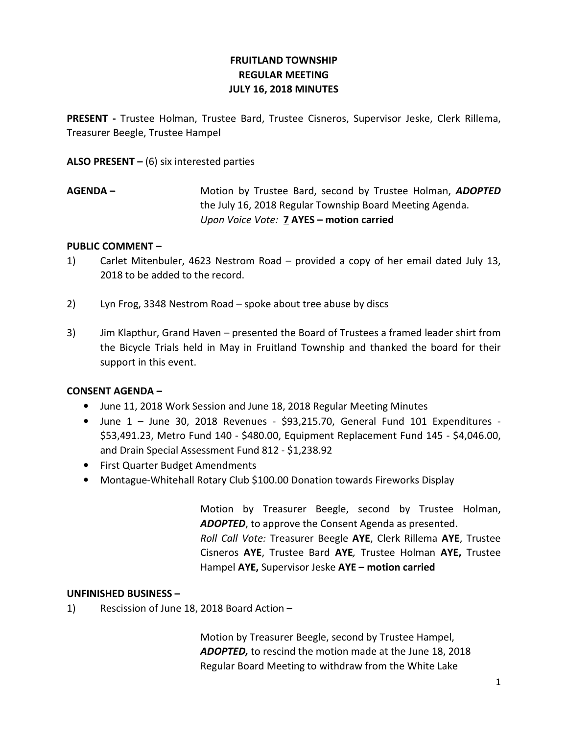# FRUITLAND TOWNSHIP REGULAR MEETING JULY 16, 2018 MINUTES

PRESENT - Trustee Holman, Trustee Bard, Trustee Cisneros, Supervisor Jeske, Clerk Rillema, Treasurer Beegle, Trustee Hampel

ALSO PRESENT  $-$  (6) six interested parties

AGENDA – Motion by Trustee Bard, second by Trustee Holman, ADOPTED the July 16, 2018 Regular Township Board Meeting Agenda. Upon Voice Vote: 7 AYES – motion carried

### PUBLIC COMMENT –

- 1) Carlet Mitenbuler, 4623 Nestrom Road provided a copy of her email dated July 13, 2018 to be added to the record.
- 2) Lyn Frog, 3348 Nestrom Road spoke about tree abuse by discs
- 3) Jim Klapthur, Grand Haven presented the Board of Trustees a framed leader shirt from the Bicycle Trials held in May in Fruitland Township and thanked the board for their support in this event.

# CONSENT AGENDA –

- June 11, 2018 Work Session and June 18, 2018 Regular Meeting Minutes
- June 1 June 30, 2018 Revenues \$93,215.70, General Fund 101 Expenditures \$53,491.23, Metro Fund 140 - \$480.00, Equipment Replacement Fund 145 - \$4,046.00, and Drain Special Assessment Fund 812 - \$1,238.92
- First Quarter Budget Amendments
- Montague-Whitehall Rotary Club \$100.00 Donation towards Fireworks Display

 Motion by Treasurer Beegle, second by Trustee Holman, **ADOPTED**, to approve the Consent Agenda as presented. Roll Call Vote: Treasurer Beegle AYE, Clerk Rillema AYE, Trustee Cisneros AYE, Trustee Bard AYE, Trustee Holman AYE, Trustee Hampel AYE, Supervisor Jeske AYE – motion carried

# UNFINISHED BUSINESS –

1) Rescission of June 18, 2018 Board Action –

 Motion by Treasurer Beegle, second by Trustee Hampel, ADOPTED, to rescind the motion made at the June 18, 2018 Regular Board Meeting to withdraw from the White Lake